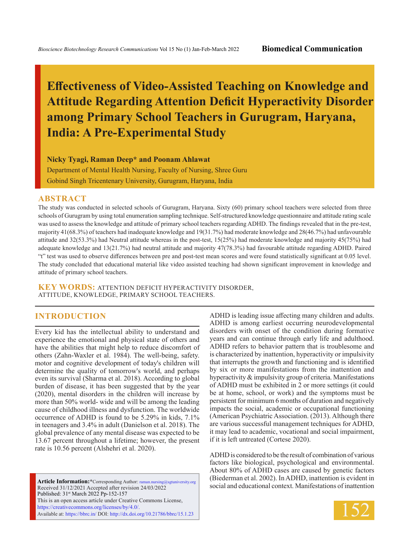# **Effectiveness of Video-Assisted Teaching on Knowledge and Attitude Regarding Attention Deficit Hyperactivity Disorder among Primary School Teachers in Gurugram, Haryana, India: A Pre-Experimental Study**

**Nicky Tyagi, Raman Deep\* and Poonam Ahlawat**

Department of Mental Health Nursing, Faculty of Nursing, Shree Guru Gobind Singh Tricentenary University, Gurugram, Haryana, India

#### **ABSTRACT**

The study was conducted in selected schools of Gurugram, Haryana. Sixty (60) primary school teachers were selected from three schools of Gurugram by using total enumeration sampling technique. Self-structured knowledge questionnaire and attitude rating scale was used to assess the knowledge and attitude of primary school teachers regarding ADHD. The findings revealed that in the pre-test, majority 41(68.3%) of teachers had inadequate knowledge and 19(31.7%) had moderate knowledge and 28(46.7%) had unfavourable attitude and 32(53.3%) had Neutral attitude whereas in the post-test, 15(25%) had moderate knowledge and majority 45(75%) had adequate knowledge and 13(21.7%) had neutral attitude and majority 47(78.3%) had favourable attitude regarding ADHD. Paired "t" test was used to observe differences between pre and post-test mean scores and were found statistically significant at 0.05 level. The study concluded that educational material like video assisted teaching had shown significant improvement in knowledge and attitude of primary school teachers.

**KEY WORDS:** Attention deficit hyperactivity disorder, attitude, knowledge, primary school teachers.

#### **INTRODUCTION**

Every kid has the intellectual ability to understand and experience the emotional and physical state of others and have the abilities that might help to reduce discomfort of others (Zahn-Waxler et al. 1984). The well-being, safety. motor and cognitive development of today's children will determine the quality of tomorrow's world, and perhaps even its survival (Sharma et al. 2018). According to global burden of disease, it has been suggested that by the year (2020), mental disorders in the children will increase by more than 50% world- wide and will be among the leading cause of childhood illness and dysfunction. The worldwide occurrence of ADHD is found to be 5.29% in kids, 7.1% in teenagers and 3.4% in adult (Danielson et al. 2018). The global prevalence of any mental disease was expected to be 13.67 percent throughout a lifetime; however, the present rate is 10.56 percent (Alshehri et al. 2020).

**Article Information:\***Corresponding Author: raman.nursing@sgtuniversity.org Received 31/12/2021 Accepted after revision 24/03/2022 Published: 31st March 2022 Pp-152-157 This is an open access article under Creative Commons License, https://creativecommons.org/licenses/by/4.0/. Available at: https://bbrc.in/ DOI: http://dx.doi.org/10.21786/bbrc/15.1.23

ADHD is leading issue affecting many children and adults. ADHD is among earliest occurring neurodevelopmental disorders with onset of the condition during formative years and can continue through early life and adulthood. ADHD refers to behavior pattern that is troublesome and is characterized by inattention, hyperactivity or impulsivity that interrupts the growth and functioning and is identified by six or more manifestations from the inattention and hyperactivity & impulsivity group of criteria. Manifestations of ADHD must be exhibited in 2 or more settings (it could be at home, school, or work) and the symptoms must be persistent for minimum 6 months of duration and negatively impacts the social, academic or occupational functioning (American Psychiatric Association. (2013). Although there are various successful management techniques for ADHD, it may lead to academic, vocational and social impairment, if it is left untreated (Cortese 2020).

ADHD is considered to be the result of combination of various factors like biological, psychological and environmental. About 80% of ADHD cases are caused by genetic factors (Biederman et al. 2002). In ADHD, inattention is evident in social and educational context. Manifestations of inattention

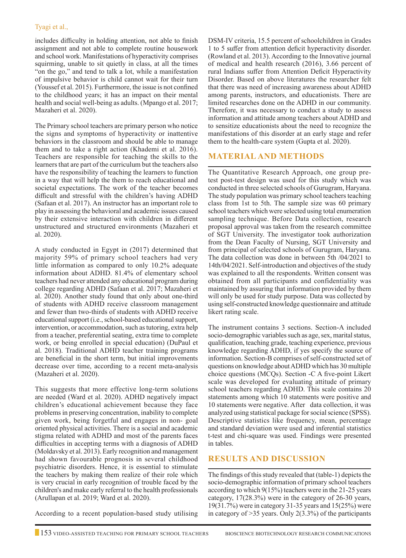includes difficulty in holding attention, not able to finish assignment and not able to complete routine housework and school work. Manifestations of hyperactivity comprises squirming, unable to sit quietly in class, at all the times "on the go," and tend to talk a lot, while a manifestation of impulsive behavior is child cannot wait for their turn (Youssef et al. 2015). Furthermore, the issue is not confined to the childhood years; it has an impact on their mental health and social well-being as adults. (Mpango et al. 2017; Mazaheri et al. 2020).

The Primary school teachers are primary person who notice the signs and symptoms of hyperactivity or inattentive behaviors in the classroom and should be able to manage them and to take a right action (Khademi et al. 2016). Teachers are responsible for teaching the skills to the learners that are part of the curriculum but the teachers also have the responsibility of teaching the learners to function in a way that will help the them to reach educational and societal expectations. The work of the teacher becomes difficult and stressful with the children's having ADHD (Safaan et al. 2017). An instructor has an important role to play in assessing the behavioral and academic issues caused by their extensive interaction with children in different unstructured and structured environments (Mazaheri et al. 2020).

A study conducted in Egypt in (2017) determined that majority 59% of primary school teachers had very little information as compared to only 10.2% adequate information about ADHD. 81.4% of elementary school teachers had never attended any educational program during college regarding ADHD (Safaan et al. 2017; Mazaheri et al. 2020). Another study found that only about one-third of students with ADHD receive classroom management and fewer than two-thirds of students with ADHD receive educational support (i.e., school-based educational support, intervention, or accommodation, such as tutoring, extra help from a teacher, preferential seating, extra time to complete work, or being enrolled in special education) (DuPaul et al. 2018). Traditional ADHD teacher training programs are beneficial in the short term, but initial improvements decrease over time, according to a recent meta-analysis (Mazaheri et al. 2020).

This suggests that more effective long-term solutions are needed (Ward et al. 2020). ADHD negatively impact children's educational achievement because they face problems in preserving concentration, inability to complete given work, being forgetful and engages in non- goal oriented physical activities. There is a social and academic stigma related with ADHD and most of the parents faces difficulties in accepting terms with a diagnosis of ADHD (Moldavsky et al. 2013). Early recognition and management had shown favourable prognosis in several childhood psychiatric disorders. Hence, it is essential to stimulate the teachers by making them realize of their role which is very crucial in early recognition of trouble faced by the children's and make early referral to the health professionals (Arullapan et al. 2019; Ward et al. 2020).

According to a recent population-based study utilising

DSM-IV criteria, 15.5 percent of schoolchildren in Grades 1 to 5 suffer from attention deficit hyperactivity disorder. (Rowland et al. 2013). According to the Innovative journal of medical and health research (2016), 3.66 percent of rural Indians suffer from Attention Deficit Hyperactivity Disorder. Based on above literatures the researcher felt that there was need of increasing awareness about ADHD among parents, instructors, and educationists. There are limited researches done on the ADHD in our community. Therefore, it was necessary to conduct a study to assess information and attitude among teachers about ADHD and to sensitize educationists about the need to recognize the manifestations of this disorder at an early stage and refer them to the health-care system (Gupta et al. 2020).

## **Material and Methods**

The Quantitative Research Approach, one group pretest post-test design was used for this study which was conducted in three selected schools of Gurugram, Haryana. The study population was primary school teachers teaching class from 1st to 5th. The sample size was 60 primary school teachers which were selected using total enumeration sampling technique. Before Data collection, research proposal approval was taken from the research committee of SGT University. The investigator took authorization from the Dean Faculty of Nursing, SGT University and from principal of selected schools of Gurugram, Haryana. The data collection was done in between 5th /04/2021 to 14th/04/2021. Self-introduction and objectives of the study was explained to all the respondents. Written consent was obtained from all participants and confidentiality was maintained by assuring that information provided by them will only be used for study purpose. Data was collected by using self-constructed knowledge questionnaire and attitude likert rating scale.

The instrument contains 3 sections. Section-A included socio-demographic variables such as age, sex, marital status, qualification, teaching grade, teaching experience, previous knowledge regarding ADHD, if yes specify the source of information. Section-B comprises of self-constructed set of questions on knowledge about ADHD which has 30 multiple choice questions (MCQs). Section -C A five-point Likert scale was developed for evaluating attitude of primary school teachers regarding ADHD. This scale contains 20 statements among which 10 statements were positive and 10 statements were negative. After data collection, it was analyzed using statistical package for social science (SPSS). Descriptive statistics like frequency, mean, percentage and standard deviation were used and inferential statistics t-test and chi-square was used. Findings were presented in tables.

### **Results and discussion**

The findings of this study revealed that (table-1) depicts the socio-demographic information of primary school teachers according to which 9(15%) teachers were in the 21-25 years category, 17(28.3%) were in the category of 26-30 years, 19(31.7%) were in category 31-35 years and 15(25%) were in category of  $>35$  years. Only 2(3.3%) of the participants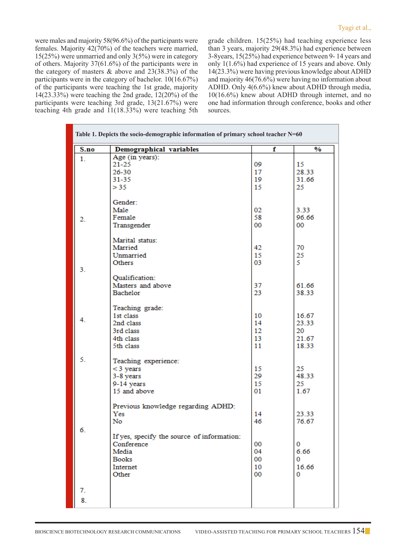were males and majority 58(96.6%) of the participants were females. Majority 42(70%) of the teachers were married, 15(25%) were unmarried and only 3(5%) were in category of others. Majority 37(61.6%) of the participants were in the category of masters  $\&$  above and 23(38.3%) of the participants were in the category of bachelor. 10(16.67%) of the participants were teaching the 1st grade, majority 14(23.33%) were teaching the 2nd grade, 12(20%) of the participants were teaching 3rd grade, 13(21.67%) were teaching 4th grade and 11(18.33%) were teaching 5th grade children. 15(25%) had teaching experience less than 3 years, majority 29(48.3%) had experience between 3-8years, 15(25%) had experience between 9- 14 years and only 1(1.6%) had experience of 15 years and above. Only 14(23.3%) were having previous knowledge about ADHD and majority 46(76.6%) were having no information about ADHD. Only 4(6.6%) knew about ADHD through media, 10(16.6%) knew about ADHD through internet, and no one had information through conference, books and other sources.

| Table 1. Depicts the socio-demographic information of primary school teacher N=60 |                                                                                                                                           |                                      |                                           |  |  |
|-----------------------------------------------------------------------------------|-------------------------------------------------------------------------------------------------------------------------------------------|--------------------------------------|-------------------------------------------|--|--|
| S.no                                                                              | <b>Demographical variables</b>                                                                                                            | f                                    | $\frac{0}{0}$                             |  |  |
| 1.                                                                                | Age (in years):<br>$21 - 25$<br>$26 - 30$<br>$31 - 35$<br>> 35                                                                            | 09<br>17<br>19<br>15                 | 15<br>28.33<br>31.66<br>25                |  |  |
| 2.                                                                                | Gender:<br>Male<br>Female<br>Transgender                                                                                                  | 02<br>58<br>$00\,$                   | 3.33<br>96.66<br>00                       |  |  |
| 3.                                                                                | Marital status:<br>Married<br>Unmarried<br>Others                                                                                         | 42<br>15<br>03                       | 70<br>25<br>5.                            |  |  |
|                                                                                   | Qualification:<br>Masters and above<br>Bachelor                                                                                           | 37<br>23                             | 61.66<br>38.33                            |  |  |
| 4.                                                                                | Teaching grade:<br>1st class<br>2nd class<br>3rd class<br>4th class<br>5th class                                                          | 10<br>14<br>12<br>13<br>11           | 16.67<br>23.33<br>20<br>21.67<br>18.33    |  |  |
| 5.                                                                                | Teaching experience:<br>$<$ 3 years<br>3-8 years<br>9-14 years<br>15 and above                                                            | 15<br>29<br>15<br>01                 | 25<br>48.33<br>25<br>1.67                 |  |  |
| 6.                                                                                | Previous knowledge regarding ADHD:<br>Yes<br>No<br>If yes, specify the source of information:<br>Conference<br>Media<br>Books<br>Internet | 14<br>46<br>00<br>04<br>$00\,$<br>10 | 23.33<br>76.67<br>0<br>6.66<br>0<br>16.66 |  |  |
| 7.<br>8.                                                                          | Other                                                                                                                                     | 00                                   | 0                                         |  |  |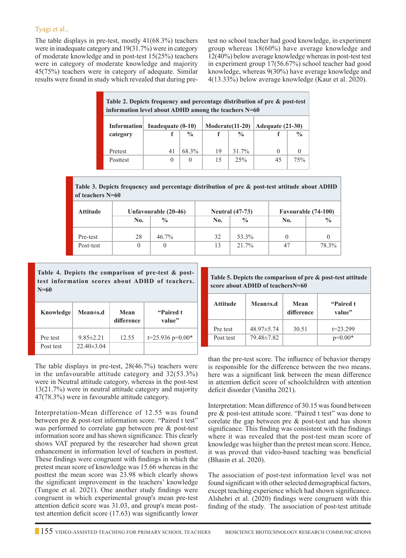#### Tyagi et al.,

The table displays in pre-test, mostly 41(68.3%) teachers were in inadequate category and 19(31.7%) were in category of moderate knowledge and in post-test 15(25%) teachers were in category of moderate knowledge and majority 45(75%) teachers were in category of adequate. Similar results were found in study which revealed that during pretest no school teacher had good knowledge, in experiment group whereas 18(60%) have average knowledge and 12(40%) below average knowledge whereas in post-test test in experiment group 17(56.67%) school teacher had good knowledge, whereas 9(30%) have average knowledge and 4(13.33%) below average knowledge (Kaur et al. 2020).

| Table 2. Depicts frequency and percentage distribution of pre & post-test<br>information level about ADHD among the teachers $N=60$ |                     |               |                  |               |                  |               |
|-------------------------------------------------------------------------------------------------------------------------------------|---------------------|---------------|------------------|---------------|------------------|---------------|
| <b>Information</b>                                                                                                                  | Inadequate $(0-10)$ |               | $Modern (11-20)$ |               | Adequate (21-30) |               |
| category                                                                                                                            |                     | $\frac{0}{0}$ |                  | $\frac{0}{0}$ |                  | $\frac{0}{0}$ |
|                                                                                                                                     |                     | 68.3%         |                  | 31.7%         |                  | $\Omega$      |
| Pretest                                                                                                                             | 41                  |               | 19               |               | $\Omega$         |               |
| Posttest                                                                                                                            | $\theta$            | $\Omega$      | 15               | 25%           | 45               | 75%           |

**Table 3. Depicts frequency and percentage distribution of pre & post-test attitude about ADHD of teachers N=60**

| <b>Attitude</b> | Unfavourable (20-46) |               | <b>Neutral</b> (47-73) |               | Favourable (74-100) |               |
|-----------------|----------------------|---------------|------------------------|---------------|---------------------|---------------|
|                 | No.                  | $\frac{0}{0}$ | No.                    | $\frac{0}{0}$ | No.                 | $\frac{0}{0}$ |
| Pre-test        | 28                   | $46.7\%$      | 32                     | 53.3%         |                     |               |
| Post-test       |                      | 0             | 13                     | 21.7%         | 47                  | 78.3%         |

**Table 4. Depicts the comparison of pre-test & posttest information scores about ADHD of teachers. N=60**

| Knowledge | <b>Mean±s.d</b>  | Mean<br>difference | "Paired t<br>value" |
|-----------|------------------|--------------------|---------------------|
| Pre test  | $9.85 \pm 2.21$  | 12.55              | $t=25.936$ p=0.00*  |
| Post test | $22.40 \pm 3.04$ |                    |                     |

**Table 5. Depicts the comparison of pre & post-test attitude score about ADHD of teachersN=60**

| Attitude  | Mean $\pm$ s.d   | Mean<br>difference | "Paired t<br>value" |
|-----------|------------------|--------------------|---------------------|
| Pre test  | $48.97 \pm 5.74$ | 30.51              | $t = 23.299$        |
| Post test | 79.48±7.82       |                    | $p=0.00*$           |

The table displays in pre-test, 28(46.7%) teachers were in the unfavourable attitude category and 32(53.3%) were in Neutral attitude category, whereas in the post-test 13(21.7%) were in neutral attitude category and majority 47(78.3%) were in favourable attitude category.

Interpretation-Mean difference of 12.55 was found between pre & post-test information score. "Paired t test" was performed to correlate gap between pre & post-test information score and has shown significance. This clearly shows VAT prepared by the researcher had shown great enhancement in information level of teachers in posttest. These findings were congruent with findings in which the pretest mean score of knowledge was 15.66 whereas in the posttest the mean score was 23.98 which clearly shows the significant improvement in the teachers' knowledge (Tungoe et al. 2021). One another study findings were congruent in which experimental group's mean pre-test attention deficit score was 31.03, and group's mean posttest attention deficit score (17.63) was significantly lower than the pre-test score. The influence of behavior therapy is responsible for the difference between the two means. here was a significant link between the mean difference in attention deficit score of schoolchildren with attention deficit disorder (Vanitha 2021).

Interpretation: Mean difference of 30.15 was found between pre & post-test attitude score. "Paired t test" was done to corelate the gap between pre & post-test and has shown significance. This finding was consistent with the findings where it was revealed that the post-test mean score of knowledge was hiigher than the pretest mean score. Hence, it was proved that video-based teaching was beneficial (Bhasin et al. 2020).

The association of post-test information level was not found significant with other selected demographical factors, except teaching experience which had shown significance. Alshehri et al. (2020) findings were congruent with this finding of the study. The association of post-test attitude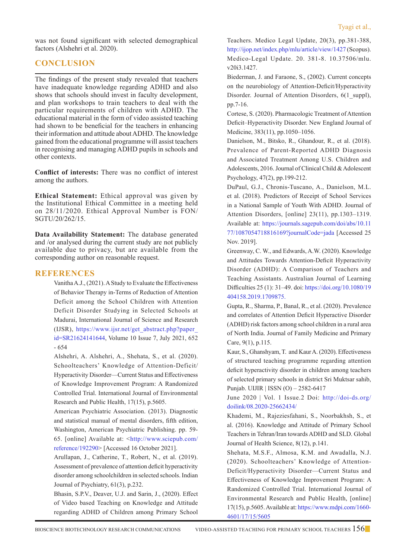was not found significant with selected demographical factors (Alshehri et al. 2020).

## **Conclusion**

The findings of the present study revealed that teachers have inadequate knowledge regarding ADHD and also shows that schools should invest in faculty development, and plan workshops to train teachers to deal with the particular requirements of children with ADHD. The educational material in the form of video assisted teaching had shown to be beneficial for the teachers in enhancing their information and attitude about ADHD. The knowledge gained from the educational programme will assist teachers in recognising and managing ADHD pupils in schools and other contexts.

**Conflict of interests:** There was no conflict of interest among the authors.

**Ethical Statement:** Ethical approval was given by the Institutional Ethical Committee in a meeting held on 28/11/2020. Ethical Approval Number is FON/ SGTU/20/262/15.

**Data Availability Statement:** The database generated and /or analysed during the current study are not publicly available due to privacy, but are available from the corresponding author on reasonable request.

### **References**

Vanitha A.J., (2021). A Study to Evaluate the Effectiveness of Behavior Therapy in-Terms of Reduction of Attention Deficit among the School Children with Attention Deficit Disorder Studying in Selected Schools at Madurai, International Journal of Science and Research (IJSR), https://www.ijsr.net/get\_abstract.php?paper\_ id=SR21624141644, Volume 10 Issue 7, July 2021, 652 - 654

Alshehri, A. Alshehri, A., Shehata, S., et al. (2020). Schoolteachers' Knowledge of Attention-Deficit/ Hyperactivity Disorder—Current Status and Effectiveness of Knowledge Improvement Program: A Randomized Controlled Trial. International Journal of Environmental Research and Public Health, 17(15), p.5605.

American Psychiatric Association. (2013). Diagnostic and statistical manual of mental disorders, fifth edition, Washington, American Psychiatric Publishing. pp. 59- 65. [online] Available at: <http://www.sciepub.com/ reference/192290> [Accessed 16 October 2021].

Arullapan, J., Catherine, T., Robert, N., et al. (2019). Assessment of prevalence of attention deficit hyperactivity disorder among schoolchildren in selected schools. Indian Journal of Psychiatry, 61(3), p.232.

Bhasin, S.P.V., Deaver, U.J. and Sarin, J., (2020). Effect of Video based Teaching on Knowledge and Attitude regarding ADHD of Children among Primary School Teachers. Medico Legal Update, 20(3), pp.381-388, http://ijop.net/index.php/mlu/article/view/1427 (Scopus). Medico-Legal Update. 20. 381-8. 10.37506/mlu. v20i3.1427.

Biederman, J. and Faraone, S., (2002). Current concepts on the neurobiology of Attention-Deficit/Hyperactivity Disorder. Journal of Attention Disorders, 6(1 suppl), pp.7-16.

 Cortese, S. (2020). Pharmacologic Treatment of Attention Deficit–Hyperactivity Disorder. New England Journal of Medicine, 383(11), pp.1050–1056.

Danielson, M., Bitsko, R., Ghandour, R., et al. (2018). Prevalence of Parent-Reported ADHD Diagnosis and Associated Treatment Among U.S. Children and Adolescents, 2016. Journal of Clinical Child & Adolescent Psychology, 47(2), pp.199-212.

DuPaul, G.J., Chronis-Tuscano, A., Danielson, M.L. et al. (2018). Predictors of Receipt of School Services in a National Sample of Youth With ADHD. Journal of Attention Disorders, [online] 23(11), pp.1303–1319. Available at: https://journals.sagepub.com/doi/abs/10.11 77/1087054718816169?journalCode=jada [Accessed 25 Nov. 2019].

Greenway, C. W., and Edwards, A.W. (2020). Knowledge and Attitudes Towards Attention-Deficit Hyperactivity Disorder (ADHD): A Comparison of Teachers and Teaching Assistants. Australian Journal of Learning Difficulties 25 (1): 31–49. doi: https://doi.org/10.1080/19 404158.2019.1709875.

 Gupta, R., Sharma, P., Banal, R., et al. (2020). Prevalence and correlates of Attention Deficit Hyperactive Disorder (ADHD) risk factors among school children in a rural area of North India. Journal of Family Medicine and Primary Care, 9(1), p.115.

 Kaur, S., Ghanshyam, T. and Kaur A. (2020). Effectiveness of structured teaching programme regarding attention deficit hyperactivity disorder in children among teachers of selected primary schools in district Sri Muktsar sahib, Punjab. UIJIR | ISSN (O) – 2582-6417

June 2020 | Vol. 1 Issue.2 Doi: http://doi-ds.org/ doilink/08.2020-25662434/

 Khademi, M., Rajeziesfahani, S., Noorbakhsh, S., et al. (2016). Knowledge and Attitude of Primary School Teachers in Tehran/Iran towards ADHD and SLD. Global Journal of Health Science, 8(12), p.141.

 Shehata, M.S.F., Almosa, K.M. and Awadalla, N.J. (2020). Schoolteachers' Knowledge of Attention-Deficit/Hyperactivity Disorder—Current Status and Effectiveness of Knowledge Improvement Program: A Randomized Controlled Trial. International Journal of Environmental Research and Public Health, [online] 17(15), p.5605. Available at: https://www.mdpi.com/1660- 4601/17/15/5605